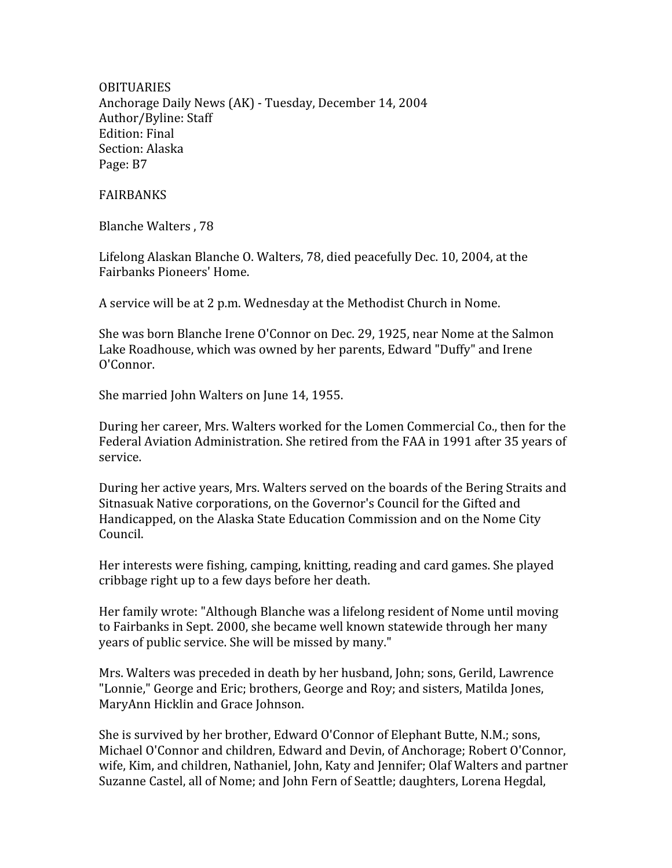**OBITUARIES** Anchorage
Daily
News
(AK)
‐
Tuesday,
December
14,
2004 Author/Byline:
Staff Edition:
Final Section:
Alaska Page:
B7

## FAIRBANKS

Blanche
Walters
,
78

Lifelong
Alaskan
Blanche
O.
Walters,
78,
died
peacefully
Dec.
10,
2004,
at
the Fairbanks
Pioneers'
Home.

A
service
will
be
at
2
p.m.
Wednesday
at
the
Methodist
Church
in
Nome.

She
was
born
Blanche
Irene
O'Connor
on
Dec.
29,
1925,
near
Nome
at
the
Salmon Lake Roadhouse, which was owned by her parents, Edward "Duffy" and Irene O'Connor.

She
married
John
Walters
on
June
14,
1955.

During her career, Mrs. Walters worked for the Lomen Commercial Co., then for the Federal Aviation Administration. She retired from the FAA in 1991 after 35 years of service.

During her active years, Mrs. Walters served on the boards of the Bering Straits and Sitnasuak Native corporations, on the Governor's Council for the Gifted and Handicapped, on the Alaska State Education Commission and on the Nome City Council.

Her
interests
were
fishing,
camping,
knitting,
reading
and
card
games.
She
played cribbage
right
up
to
a
few
days
before
her
death.

Her
family
wrote:
"Although
Blanche
was
a
lifelong
resident
of
Nome
until
moving to
Fairbanks
in
Sept.
2000,
she
became
well
known
statewide
through
her
many years
of
public
service.
She
will
be
missed
by
many."

Mrs.
Walters
was
preceded
in
death
by
her
husband,
John;
sons,
Gerild,
Lawrence "Lonnie," George and Eric; brothers, George and Roy; and sisters, Matilda Jones, MaryAnn
Hicklin
and
Grace
Johnson.

She
is
survived
by
her
brother,
Edward
O'Connor
of
Elephant
Butte,
N.M.;
sons, Michael O'Connor and children, Edward and Devin, of Anchorage; Robert O'Connor, wife, Kim, and children, Nathaniel, John, Katy and Jennifer; Olaf Walters and partner Suzanne Castel, all of Nome; and John Fern of Seattle; daughters, Lorena Hegdal,